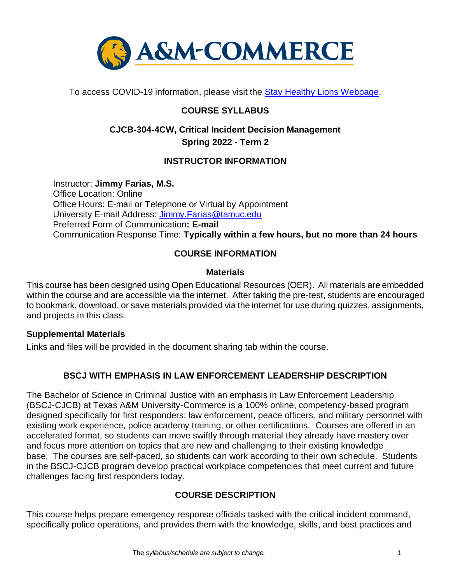

To access COVID-19 information, please visit the [Stay Healthy Lions Webpage.](https://new.tamuc.edu/coronavirus/)

# **COURSE SYLLABUS**

# **CJCB-304-4CW, Critical Incident Decision Management Spring 2022 - Term 2**

# **INSTRUCTOR INFORMATION**

Instructor: **Jimmy Farias, M.S.** Office Location: Online Office Hours: E-mail or Telephone or Virtual by Appointment University E-mail Address: [Jimmy.Farias@tamuc.edu](mailto:Jimmy.Farias@tamuc.edu) Preferred Form of Communication**: E-mail** Communication Response Time: **Typically within a few hours, but no more than 24 hours**

## **COURSE INFORMATION**

#### **Materials**

This course has been designed using Open Educational Resources (OER). All materials are embedded within the course and are accessible via the internet. After taking the pre-test, students are encouraged to bookmark, download, or save materials provided via the internet for use during quizzes, assignments, and projects in this class.

#### **Supplemental Materials**

Links and files will be provided in the document sharing tab within the course.

# **BSCJ WITH EMPHASIS IN LAW ENFORCEMENT LEADERSHIP DESCRIPTION**

The Bachelor of Science in Criminal Justice with an emphasis in Law Enforcement Leadership (BSCJ-CJCB) at Texas A&M University-Commerce is a 100% online, competency-based program designed specifically for first responders: law enforcement, peace officers, and military personnel with existing work experience, police academy training, or other certifications. Courses are offered in an accelerated format, so students can move swiftly through material they already have mastery over and focus more attention on topics that are new and challenging to their existing knowledge base. The courses are self-paced, so students can work according to their own schedule. Students in the BSCJ-CJCB program develop practical workplace competencies that meet current and future challenges facing first responders today.

# **[COURSE DESCRIPTION](http://catalog.tamuc.edu/undergrad/colleges-and-departments/college-of-innovation-design/baas-organizational-leadership/?_ga=2.81546143.928332977.1616426723-584154711.1595512675)**

This course helps prepare emergency response officials tasked with the critical incident command, specifically police operations, and provides them with the knowledge, skills, and best practices and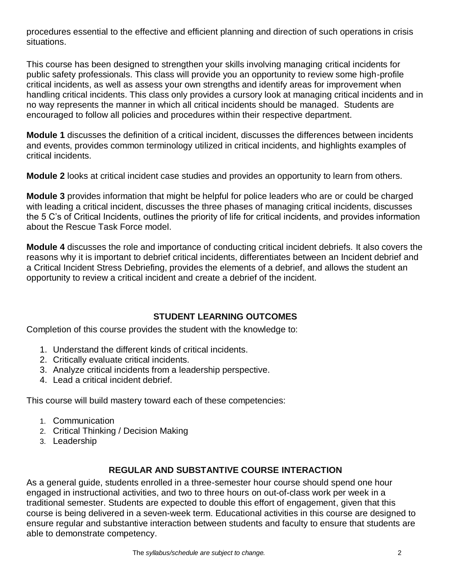procedures essential to the effective and efficient planning and direction of such operations in crisis situations.

This course has been designed to strengthen your skills involving managing critical incidents for public safety professionals. This class will provide you an opportunity to review some high-profile critical incidents, as well as assess your own strengths and identify areas for improvement when handling critical incidents. This class only provides a cursory look at managing critical incidents and in no way represents the manner in which all critical incidents should be managed. Students are encouraged to follow all policies and procedures within their respective department.

**Module 1** discusses the definition of a critical incident, discusses the differences between incidents and events, provides common terminology utilized in critical incidents, and highlights examples of critical incidents.

**Module 2** looks at critical incident case studies and provides an opportunity to learn from others.

**Module 3** provides information that might be helpful for police leaders who are or could be charged with leading a critical incident, discusses the three phases of managing critical incidents, discusses the 5 C's of Critical Incidents, outlines the priority of life for critical incidents, and provides information about the Rescue Task Force model.

**Module 4** discusses the role and importance of conducting critical incident debriefs. It also covers the reasons why it is important to debrief critical incidents, differentiates between an Incident debrief and a Critical Incident Stress Debriefing, provides the elements of a debrief, and allows the student an opportunity to review a critical incident and create a debrief of the incident.

## **STUDENT LEARNING OUTCOMES**

Completion of this course provides the student with the knowledge to:

- 1. Understand the different kinds of critical incidents.
- 2. Critically evaluate critical incidents.
- 3. Analyze critical incidents from a leadership perspective.
- 4. Lead a critical incident debrief.

This course will build mastery toward each of these competencies:

- 1. Communication
- 2. Critical Thinking / Decision Making
- 3. Leadership

# **REGULAR AND SUBSTANTIVE COURSE INTERACTION**

As a general guide, students enrolled in a three-semester hour course should spend one hour engaged in instructional activities, and two to three hours on out-of-class work per week in a traditional semester. Students are expected to double this effort of engagement, given that this course is being delivered in a seven-week term. Educational activities in this course are designed to ensure regular and substantive interaction between students and faculty to ensure that students are able to demonstrate competency.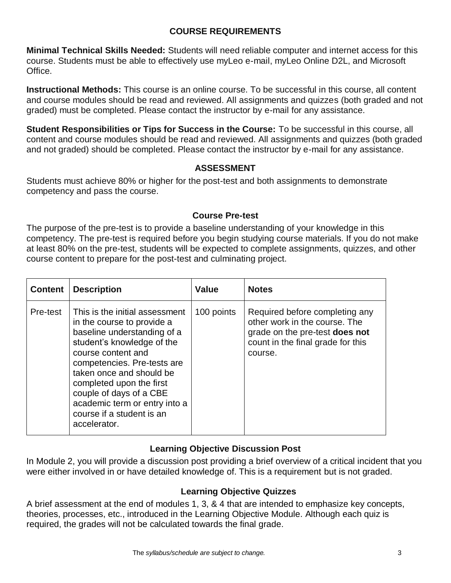## **COURSE REQUIREMENTS**

**Minimal Technical Skills Needed:** Students will need reliable computer and internet access for this course. Students must be able to effectively use myLeo e-mail, myLeo Online D2L, and Microsoft Office.

**Instructional Methods:** This course is an online course. To be successful in this course, all content and course modules should be read and reviewed. All assignments and quizzes (both graded and not graded) must be completed. Please contact the instructor by e-mail for any assistance.

**Student Responsibilities or Tips for Success in the Course:** To be successful in this course, all content and course modules should be read and reviewed. All assignments and quizzes (both graded and not graded) should be completed. Please contact the instructor by e-mail for any assistance.

#### **ASSESSMENT**

Students must achieve 80% or higher for the post-test and both assignments to demonstrate competency and pass the course.

## **Course Pre-test**

The purpose of the pre-test is to provide a baseline understanding of your knowledge in this competency. The pre-test is required before you begin studying course materials. If you do not make at least 80% on the pre-test, students will be expected to complete assignments, quizzes, and other course content to prepare for the post-test and culminating project.

| <b>Content</b> | <b>Description</b>                                                                                                                                                                                                                                                                                                                              | <b>Value</b> | <b>Notes</b>                                                                                                                                      |
|----------------|-------------------------------------------------------------------------------------------------------------------------------------------------------------------------------------------------------------------------------------------------------------------------------------------------------------------------------------------------|--------------|---------------------------------------------------------------------------------------------------------------------------------------------------|
| Pre-test       | This is the initial assessment<br>in the course to provide a<br>baseline understanding of a<br>student's knowledge of the<br>course content and<br>competencies. Pre-tests are<br>taken once and should be<br>completed upon the first<br>couple of days of a CBE<br>academic term or entry into a<br>course if a student is an<br>accelerator. | 100 points   | Required before completing any<br>other work in the course. The<br>grade on the pre-test does not<br>count in the final grade for this<br>course. |

## **Learning Objective Discussion Post**

In Module 2, you will provide a discussion post providing a brief overview of a critical incident that you were either involved in or have detailed knowledge of. This is a requirement but is not graded.

## **Learning Objective Quizzes**

A brief assessment at the end of modules 1, 3, & 4 that are intended to emphasize key concepts, theories, processes, etc., introduced in the Learning Objective Module. Although each quiz is required, the grades will not be calculated towards the final grade.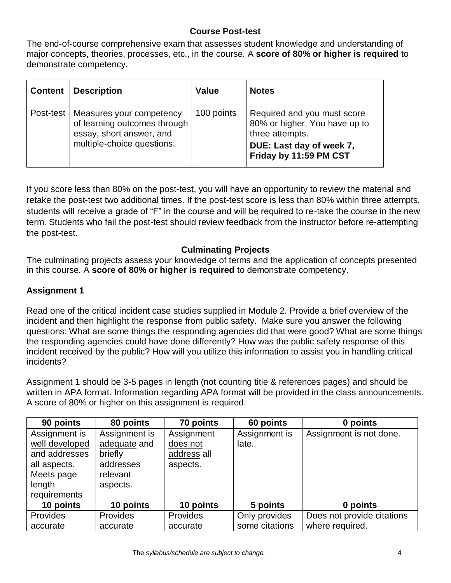#### **Course Post-test**

The end-of-course comprehensive exam that assesses student knowledge and understanding of major concepts, theories, processes, etc., in the course. A **score of 80% or higher is required** to demonstrate competency.

| <b>Content</b> | <b>Description</b>                                                                                                             | <b>Value</b> | <b>Notes</b>                                                                                                                          |
|----------------|--------------------------------------------------------------------------------------------------------------------------------|--------------|---------------------------------------------------------------------------------------------------------------------------------------|
|                | Post-test   Measures your competency<br>of learning outcomes through<br>essay, short answer, and<br>multiple-choice questions. | 100 points   | Required and you must score<br>80% or higher. You have up to<br>three attempts.<br>DUE: Last day of week 7,<br>Friday by 11:59 PM CST |

If you score less than 80% on the post-test, you will have an opportunity to review the material and retake the post-test two additional times. If the post-test score is less than 80% within three attempts, students will receive a grade of "F" in the course and will be required to re-take the course in the new term. Students who fail the post-test should review feedback from the instructor before re-attempting the post-test.

#### **Culminating Projects**

The culminating projects assess your knowledge of terms and the application of concepts presented in this course. A **score of 80% or higher is required** to demonstrate competency.

#### **Assignment 1**

Read one of the critical incident case studies supplied in Module 2. Provide a brief overview of the incident and then highlight the response from public safety. Make sure you answer the following questions: What are some things the responding agencies did that were good? What are some things the responding agencies could have done differently? How was the public safety response of this incident received by the public? How will you utilize this information to assist you in handling critical incidents?

Assignment 1 should be 3-5 pages in length (not counting title & references pages) and should be written in APA format. Information regarding APA format will be provided in the class announcements. A score of 80% or higher on this assignment is required.

| 90 points       | 80 points     | 70 points       | 60 points      | 0 points                   |
|-----------------|---------------|-----------------|----------------|----------------------------|
| Assignment is   | Assignment is | Assignment      | Assignment is  | Assignment is not done.    |
| well developed  | adequate and  | does not        | late.          |                            |
| and addresses   | briefly       | address all     |                |                            |
| all aspects.    | addresses     | aspects.        |                |                            |
| Meets page      | relevant      |                 |                |                            |
| length          | aspects.      |                 |                |                            |
| requirements    |               |                 |                |                            |
| 10 points       | 10 points     | 10 points       | 5 points       | 0 points                   |
| <b>Provides</b> | Provides      | <b>Provides</b> | Only provides  | Does not provide citations |
| accurate        | accurate      | accurate        | some citations | where required.            |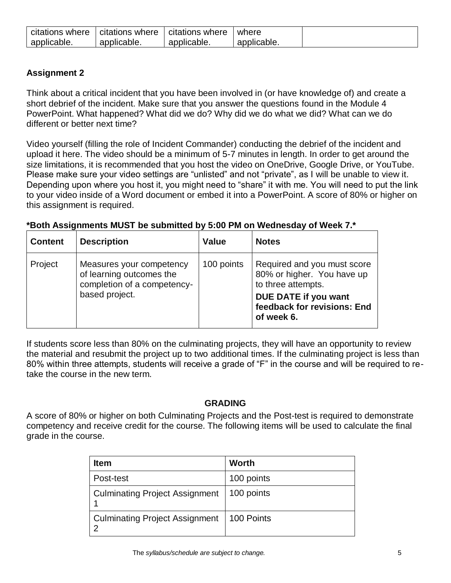| citations where | citations<br>where | citations where | where       |
|-----------------|--------------------|-----------------|-------------|
| applicable.     | applicable.        | applicable.     | applicable. |

## **Assignment 2**

Think about a critical incident that you have been involved in (or have knowledge of) and create a short debrief of the incident. Make sure that you answer the questions found in the Module 4 PowerPoint. What happened? What did we do? Why did we do what we did? What can we do different or better next time?

Video yourself (filling the role of Incident Commander) conducting the debrief of the incident and upload it here. The video should be a minimum of 5-7 minutes in length. In order to get around the size limitations, it is recommended that you host the video on OneDrive, Google Drive, or YouTube. Please make sure your video settings are "unlisted" and not "private", as I will be unable to view it. Depending upon where you host it, you might need to "share" it with me. You will need to put the link to your video inside of a Word document or embed it into a PowerPoint. A score of 80% or higher on this assignment is required.

| *Both Assignments MUST be submitted by 5:00 PM on Wednesday of Week 7.* |  |  |
|-------------------------------------------------------------------------|--|--|
|-------------------------------------------------------------------------|--|--|

| <b>Content</b> | <b>Description</b>                                                                                    | <b>Value</b> | <b>Notes</b>                                                                                                                                         |
|----------------|-------------------------------------------------------------------------------------------------------|--------------|------------------------------------------------------------------------------------------------------------------------------------------------------|
| Project        | Measures your competency<br>of learning outcomes the<br>completion of a competency-<br>based project. | 100 points   | Required and you must score<br>80% or higher. You have up<br>to three attempts.<br>DUE DATE if you want<br>feedback for revisions: End<br>of week 6. |

If students score less than 80% on the culminating projects, they will have an opportunity to review the material and resubmit the project up to two additional times. If the culminating project is less than 80% within three attempts, students will receive a grade of "F" in the course and will be required to retake the course in the new term.

## **GRADING**

A score of 80% or higher on both Culminating Projects and the Post-test is required to demonstrate competency and receive credit for the course. The following items will be used to calculate the final grade in the course.

| <b>Item</b>                           | Worth      |
|---------------------------------------|------------|
| Post-test                             | 100 points |
| <b>Culminating Project Assignment</b> | 100 points |
| <b>Culminating Project Assignment</b> | 100 Points |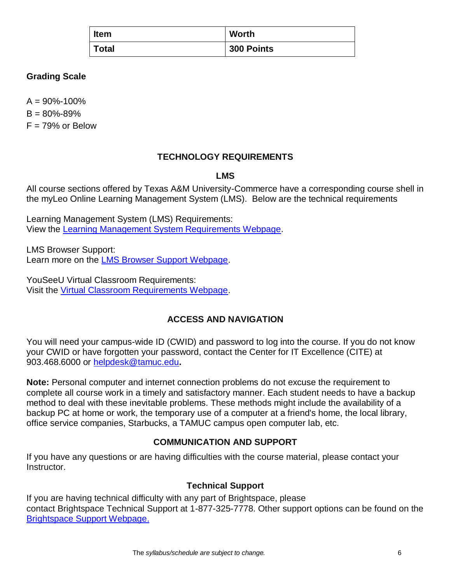| <b>Item</b>  | <b>Worth</b> |
|--------------|--------------|
| <b>Total</b> | 300 Points   |

## **Grading Scale**

 $A = 90\% - 100\%$ 

 $B = 80\% - 89\%$ 

 $F = 79%$  or Below

## **TECHNOLOGY REQUIREMENTS**

## **LMS**

All course sections offered by Texas A&M University-Commerce have a corresponding course shell in the myLeo Online Learning Management System (LMS). Below are the technical requirements

Learning Management System (LMS) Requirements: View the [Learning Management System Requirements Webpage.](https://community.brightspace.com/s/article/Brightspace-Platform-Requirements)

LMS Browser Support: Learn more on the [LMS Browser Support Webpage.](https://documentation.brightspace.com/EN/brightspace/requirements/all/browser_support.htm)

YouSeeU Virtual Classroom Requirements: Visit the [Virtual Classroom Requirements Webpage.](https://support.youseeu.com/hc/en-us/articles/115007031107-Basic-System-Requirements)

# **ACCESS AND NAVIGATION**

You will need your campus-wide ID (CWID) and password to log into the course. If you do not know your CWID or have forgotten your password, contact the Center for IT Excellence (CITE) at 903.468.6000 or [helpdesk@tamuc.edu](mailto:helpdesk@tamuc.edu)**.**

**Note:** Personal computer and internet connection problems do not excuse the requirement to complete all course work in a timely and satisfactory manner. Each student needs to have a backup method to deal with these inevitable problems. These methods might include the availability of a backup PC at home or work, the temporary use of a computer at a friend's home, the local library, office service companies, Starbucks, a TAMUC campus open computer lab, etc.

# **COMMUNICATION AND SUPPORT**

If you have any questions or are having difficulties with the course material, please contact your Instructor.

## **Technical Support**

If you are having technical difficulty with any part of Brightspace, please contact Brightspace Technical Support at 1-877-325-7778. Other support options can be found on the [Brightspace Support Webpage.](https://community.brightspace.com/support/s/contactsupport)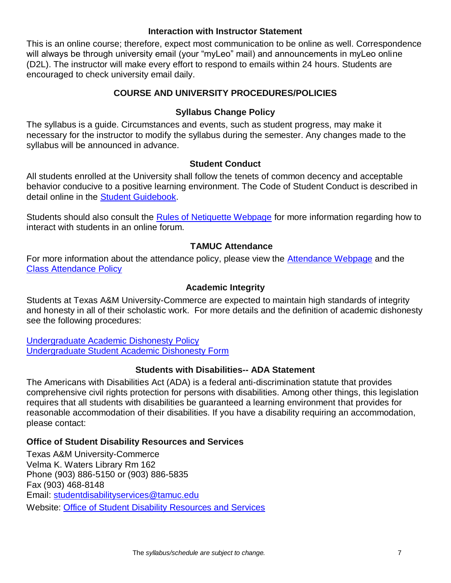#### **Interaction with Instructor Statement**

This is an online course; therefore, expect most communication to be online as well. Correspondence will always be through university email (your "myLeo" mail) and announcements in myLeo online (D2L). The instructor will make every effort to respond to emails within 24 hours. Students are encouraged to check university email daily.

## **COURSE AND UNIVERSITY PROCEDURES/POLICIES**

## **Syllabus Change Policy**

The syllabus is a guide. Circumstances and events, such as student progress, may make it necessary for the instructor to modify the syllabus during the semester. Any changes made to the syllabus will be announced in advance.

#### **Student Conduct**

All students enrolled at the University shall follow the tenets of common decency and acceptable behavior conducive to a positive learning environment. The Code of Student Conduct is described in detail online in the [Student Guidebook.](http://www.tamuc.edu/Admissions/oneStopShop/undergraduateAdmissions/studentGuidebook.aspx)

Students should also consult the [Rules of Netiquette Webpage](https://www.britannica.com/topic/netiquette) for more information regarding how to interact with students in an online forum.

## **TAMUC Attendance**

For more information about the attendance policy, please view the **Attendance Webpage** and the [Class Attendance Policy](http://www.tamuc.edu/aboutUs/policiesProceduresStandardsStatements/rulesProcedures/13students/academic/13.99.99.R0.01.pdf)

#### **Academic Integrity**

Students at Texas A&M University-Commerce are expected to maintain high standards of integrity and honesty in all of their scholastic work. For more details and the definition of academic dishonesty see the following procedures:

[Undergraduate Academic Dishonesty P](http://www.tamuc.edu/aboutUs/policiesProceduresStandardsStatements/rulesProcedures/13students/undergraduates/13.99.99.R0.03UndergraduateAcademicDishonesty.pdf)olicy [Undergraduate Student Academic Dishonesty Form](http://www.tamuc.edu/aboutUs/policiesProceduresStandardsStatements/rulesProcedures/documents/13.99.99.R0.03UndergraduateStudentAcademicDishonestyForm.pdf)

#### **Students with Disabilities-- ADA Statement**

The Americans with Disabilities Act (ADA) is a federal anti-discrimination statute that provides comprehensive civil rights protection for persons with disabilities. Among other things, this legislation requires that all students with disabilities be guaranteed a learning environment that provides for reasonable accommodation of their disabilities. If you have a disability requiring an accommodation, please contact:

#### **Office of Student Disability Resources and Services**

Texas A&M University-Commerce Velma K. Waters Library Rm 162 Phone (903) 886-5150 or (903) 886-5835 Fax (903) 468-8148 Email: [studentdisabilityservices@tamuc.edu](mailto:studentdisabilityservices@tamuc.edu) Website: [Office of Student Disability Resources and Services](http://www.tamuc.edu/campusLife/campusServices/studentDisabilityResourcesAndServices/)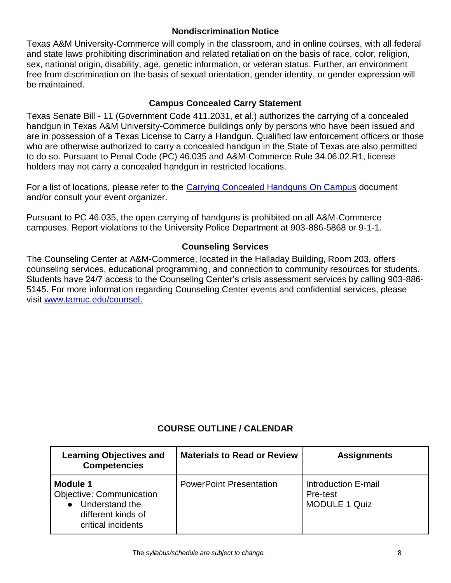#### **Nondiscrimination Notice**

Texas A&M University-Commerce will comply in the classroom, and in online courses, with all federal and state laws prohibiting discrimination and related retaliation on the basis of race, color, religion, sex, national origin, disability, age, genetic information, or veteran status. Further, an environment free from discrimination on the basis of sexual orientation, gender identity, or gender expression will be maintained.

## **Campus Concealed Carry Statement**

Texas Senate Bill - 11 (Government Code 411.2031, et al.) authorizes the carrying of a concealed handgun in Texas A&M University-Commerce buildings only by persons who have been issued and are in possession of a Texas License to Carry a Handgun. Qualified law enforcement officers or those who are otherwise authorized to carry a concealed handgun in the State of Texas are also permitted to do so. Pursuant to Penal Code (PC) 46.035 and A&M-Commerce Rule 34.06.02.R1, license holders may not carry a concealed handgun in restricted locations.

For a list of locations, please refer to the [Carrying Concealed Handguns On Campus](http://www.tamuc.edu/aboutUs/policiesProceduresStandardsStatements/rulesProcedures/34SafetyOfEmployeesAndStudents/34.06.02.R1.pdf) document and/or consult your event organizer.

Pursuant to PC 46.035, the open carrying of handguns is prohibited on all A&M-Commerce campuses. Report violations to the University Police Department at 903-886-5868 or 9-1-1.

## **Counseling Services**

The Counseling Center at A&M-Commerce, located in the Halladay Building, Room 203, offers counseling services, educational programming, and connection to community resources for students. Students have 24/7 access to the Counseling Center's crisis assessment services by calling 903-886- 5145. For more information regarding Counseling Center events and confidential services, please visit [www.tamuc.edu/counsel.](http://www.tamuc.edu/counsel)

# **COURSE OUTLINE / CALENDAR**

| <b>Learning Objectives and</b><br><b>Competencies</b>                                                            | <b>Materials to Read or Review</b> | <b>Assignments</b>                                      |
|------------------------------------------------------------------------------------------------------------------|------------------------------------|---------------------------------------------------------|
| <b>Module 1</b><br><b>Objective: Communication</b><br>Understand the<br>different kinds of<br>critical incidents | <b>PowerPoint Presentation</b>     | Introduction E-mail<br>Pre-test<br><b>MODULE 1 Quiz</b> |